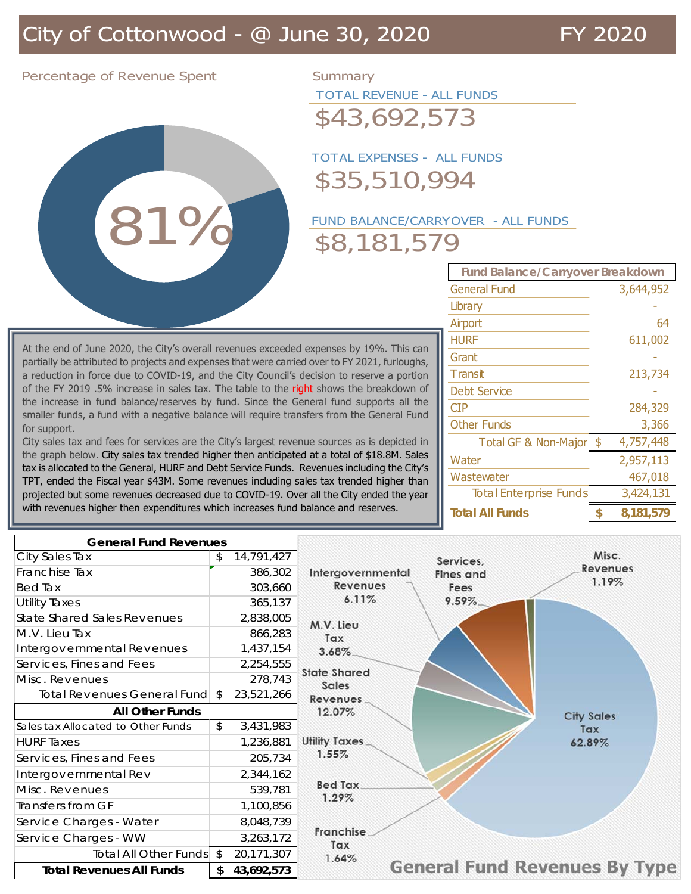Percentage of Revenue Spent Summary

81% 81%

TOTAL REVENUE - ALL FUNDS

\$43,692,573

### TOTAL EXPENSES - ALL FUNDS \$35,510,994

# FUND BALANCE/CARRYOVER - ALL FUNDS \$8,181,579

| <b>Fund Balance/Carryover Breakdown</b> |    |           |  |  |  |
|-----------------------------------------|----|-----------|--|--|--|
| <b>General Fund</b>                     |    | 3,644,952 |  |  |  |
| Library                                 |    |           |  |  |  |
| Airport                                 |    | 64        |  |  |  |
| HURF                                    |    | 611,002   |  |  |  |
| Grant                                   |    |           |  |  |  |
| <b>Transit</b>                          |    | 213,734   |  |  |  |
| <b>Debt Service</b>                     |    |           |  |  |  |
| CIP                                     |    | 284,329   |  |  |  |
| <b>Other Funds</b>                      |    | 3,366     |  |  |  |
| Total GF & Non-Major \$                 |    | 4,757,448 |  |  |  |
| Water                                   |    | 2,957,113 |  |  |  |
| Wastewater                              |    | 467,018   |  |  |  |
| <b>Total Enterprise Funds</b>           |    | 3,424,131 |  |  |  |
| <b>Total All Funds</b>                  | \$ | 8.181.579 |  |  |  |

At the end of June 2020, the City's overall revenues exceeded expenses by 19%. This can partially be attributed to projects and expenses that were carried over to FY 2021, furloughs, a reduction in force due to COVID-19, and the City Council's decision to reserve a portion of the FY 2019 .5% increase in sales tax. The table to the right shows the breakdown of the increase in fund balance/reserves by fund. Since the General fund supports all the smaller funds, a fund with a negative balance will require transfers from the General Fund for support.

City sales tax and fees for services are the City's largest revenue sources as is depicted in the graph below. City sales tax trended higher then anticipated at a total of \$18.8M. Sales tax is allocated to the General, HURF and Debt Service Funds. Revenues including the City's TPT, ended the Fiscal year \$43M. Some revenues including sales tax trended higher than projected but some revenues decreased due to COVID-19. Over all the City ended the year with revenues higher then expenditures which increases fund balance and reserves.

| <b>General Fund Revenues</b>       |                  |                                                          |
|------------------------------------|------------------|----------------------------------------------------------|
| City Sales Tax                     | 14,791,427<br>\$ | Misc.<br>Services,                                       |
| Franchise Tax                      | 386,302          | <b>Revenues</b><br>Intergovernmental<br><b>Fines</b> and |
| Bed Tax                            | 303,660          | 1.19%<br><b>Revenues</b><br>Fees                         |
| <b>Utility Taxes</b>               | 365,137          | 6.11%<br>$9.59\%$                                        |
| <b>State Shared Sales Revenues</b> | 2,838,005        | M.V. Lieu                                                |
| M.V. Lieu Tax                      | 866,283          | Tax                                                      |
| Intergovernmental Revenues         | 1,437,154        | $3.68\%$                                                 |
| Services, Fines and Fees           | 2,254,555        | <b>State Shared</b>                                      |
| Misc. Revenues                     | 278,743          | Sales                                                    |
| Total Revenues General Fund \$     | 23,521,266       | Revenues                                                 |
| <b>All Other Funds</b>             |                  | 12.07%<br><b>City Sales</b>                              |
| Sales tax Allocated to Other Funds | \$<br>3,431,983  | Tax                                                      |
| <b>HURF Taxes</b>                  | 1,236,881        | <b>Utility Taxes</b><br>62.89%                           |
| Services, Fines and Fees           | 205,734          | 1.55%                                                    |
| Intergovernmental Rev              | 2,344,162        |                                                          |
| Misc. Revenues                     | 539,781          | <b>Bed Tax</b>                                           |
| Transfers from GF                  | 1,100,856        | 1.29%                                                    |
| Service Charges - Water            | 8,048,739        |                                                          |
| Service Charges - WW               | 3,263,172        | <b>Franchise</b><br>Tax                                  |
| Total All Other Funds \$           | 20,171,307       | 1.64%                                                    |
| <b>Total Revenues All Funds</b>    | \$<br>43,692,573 | <b>General Fund Revenues By Type</b>                     |